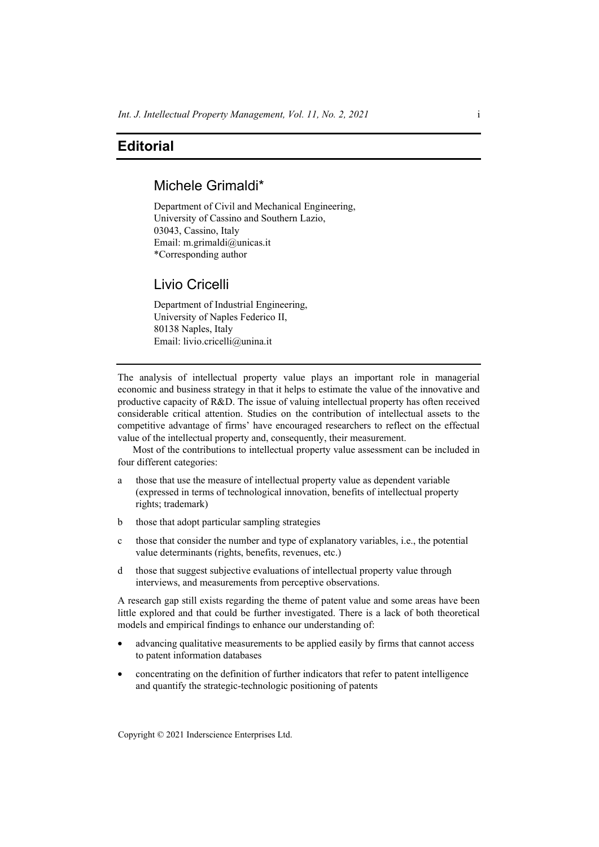## **Editorial**

# Michele Grimaldi\*

Department of Civil and Mechanical Engineering, University of Cassino and Southern Lazio, 03043, Cassino, Italy Email: m.grimaldi@unicas.it \*Corresponding author

### Livio Cricelli

Department of Industrial Engineering, University of Naples Federico II, 80138 Naples, Italy Email: livio.cricelli@unina.it

The analysis of intellectual property value plays an important role in managerial economic and business strategy in that it helps to estimate the value of the innovative and productive capacity of R&D. The issue of valuing intellectual property has often received considerable critical attention. Studies on the contribution of intellectual assets to the competitive advantage of firms' have encouraged researchers to reflect on the effectual value of the intellectual property and, consequently, their measurement.

Most of the contributions to intellectual property value assessment can be included in four different categories:

- a those that use the measure of intellectual property value as dependent variable (expressed in terms of technological innovation, benefits of intellectual property rights; trademark)
- b those that adopt particular sampling strategies
- c those that consider the number and type of explanatory variables, i.e., the potential value determinants (rights, benefits, revenues, etc.)
- d those that suggest subjective evaluations of intellectual property value through interviews, and measurements from perceptive observations.

A research gap still exists regarding the theme of patent value and some areas have been little explored and that could be further investigated. There is a lack of both theoretical models and empirical findings to enhance our understanding of:

- advancing qualitative measurements to be applied easily by firms that cannot access to patent information databases
- concentrating on the definition of further indicators that refer to patent intelligence and quantify the strategic-technologic positioning of patents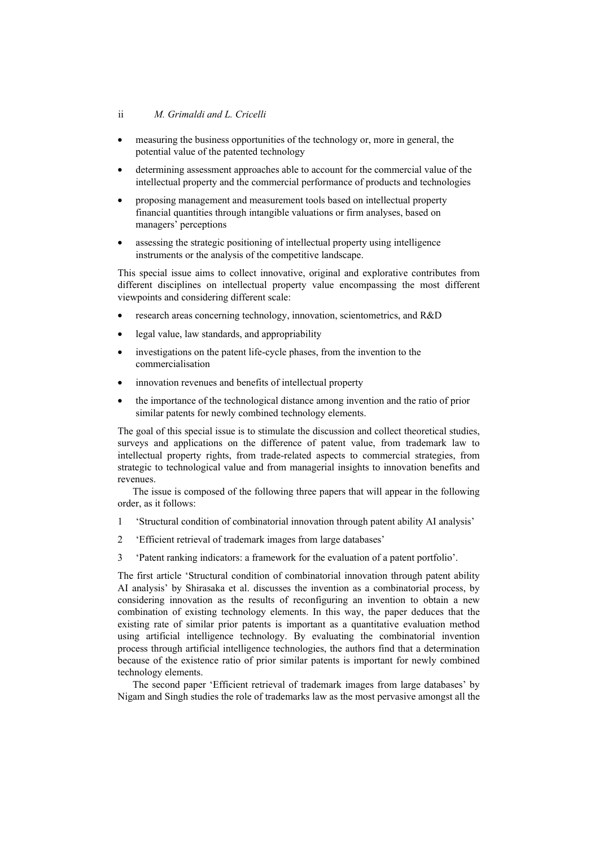### ii *M. Grimaldi and L. Cricelli*

- measuring the business opportunities of the technology or, more in general, the potential value of the patented technology
- determining assessment approaches able to account for the commercial value of the intellectual property and the commercial performance of products and technologies
- proposing management and measurement tools based on intellectual property financial quantities through intangible valuations or firm analyses, based on managers' perceptions
- assessing the strategic positioning of intellectual property using intelligence instruments or the analysis of the competitive landscape.

This special issue aims to collect innovative, original and explorative contributes from different disciplines on intellectual property value encompassing the most different viewpoints and considering different scale:

- research areas concerning technology, innovation, scientometrics, and R&D
- legal value, law standards, and appropriability
- investigations on the patent life-cycle phases, from the invention to the commercialisation
- innovation revenues and benefits of intellectual property
- the importance of the technological distance among invention and the ratio of prior similar patents for newly combined technology elements.

The goal of this special issue is to stimulate the discussion and collect theoretical studies, surveys and applications on the difference of patent value, from trademark law to intellectual property rights, from trade-related aspects to commercial strategies, from strategic to technological value and from managerial insights to innovation benefits and revenues.

The issue is composed of the following three papers that will appear in the following order, as it follows:

- 1 'Structural condition of combinatorial innovation through patent ability AI analysis'
- 2 'Efficient retrieval of trademark images from large databases'
- 3 'Patent ranking indicators: a framework for the evaluation of a patent portfolio'.

The first article 'Structural condition of combinatorial innovation through patent ability AI analysis' by Shirasaka et al. discusses the invention as a combinatorial process, by considering innovation as the results of reconfiguring an invention to obtain a new combination of existing technology elements. In this way, the paper deduces that the existing rate of similar prior patents is important as a quantitative evaluation method using artificial intelligence technology. By evaluating the combinatorial invention process through artificial intelligence technologies, the authors find that a determination because of the existence ratio of prior similar patents is important for newly combined technology elements.

The second paper 'Efficient retrieval of trademark images from large databases' by Nigam and Singh studies the role of trademarks law as the most pervasive amongst all the